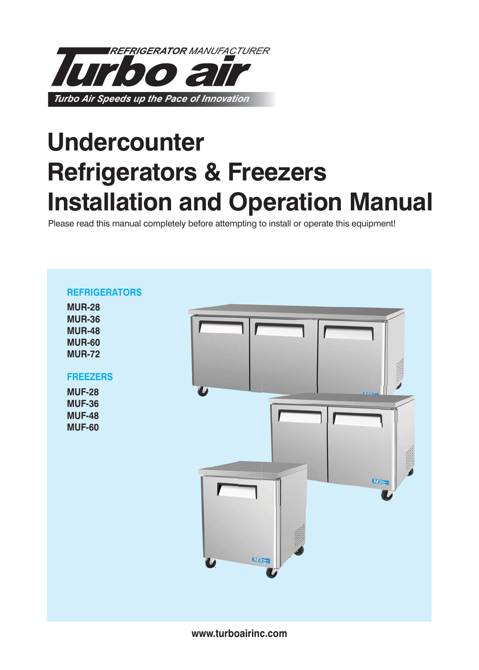

# **Undercounter Refrigerators & Freezers Installation and Operation Manual**

Please read this manual completely before attempting to install or operate this equipment!



**www.turboairinc.com**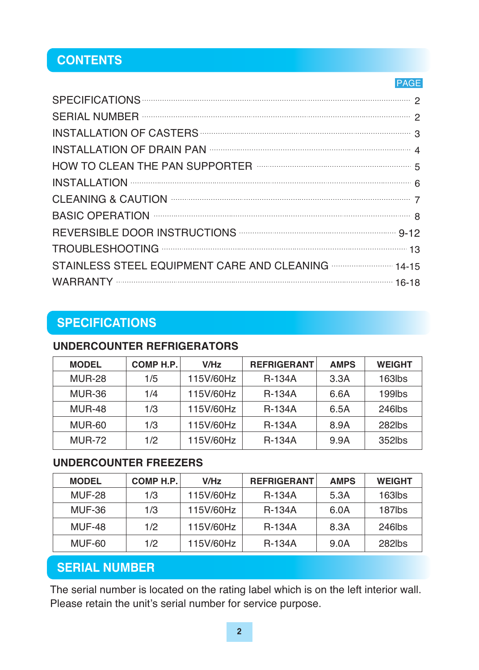# **CONTENTS**

#### PAGE

| SPECIFICATIONS 2                                                                                                                                                                                                                   |  |
|------------------------------------------------------------------------------------------------------------------------------------------------------------------------------------------------------------------------------------|--|
|                                                                                                                                                                                                                                    |  |
|                                                                                                                                                                                                                                    |  |
|                                                                                                                                                                                                                                    |  |
|                                                                                                                                                                                                                                    |  |
|                                                                                                                                                                                                                                    |  |
| CLEANING & CAUTION <b>WELL ASSESSED ASSESSED.</b> The SCIENCE of the SCIENCE of the SCIENCE of the SCIENCE of the SCIENCE of the SCIENCE of the SCIENCE of the SCIENCE of the SCIENCE of the SCIENCE of the SCIENCE of the SCIENCE |  |
| BASIC OPERATION <b>WELL ASSESSED ASSISTED</b> 8                                                                                                                                                                                    |  |
| REVERSIBLE DOOR INSTRUCTIONS <b>CONSUMING A DISCUSSIBLE DOOR INSTRUCTIONS</b>                                                                                                                                                      |  |
| TROUBLESHOOTING MARKET AND TROUBLESHOOTING                                                                                                                                                                                         |  |
| STAINLESS STEEL EQUIPMENT CARE AND CLEANING <b>CONSTAINLESS</b> 14-15                                                                                                                                                              |  |
|                                                                                                                                                                                                                                    |  |

# **SPECIFICATIONS**

### **UNDERCOUNTER REFRIGERATORS**

| <b>MODEL</b>  | COMP H.P. | V/Hz      | <b>REFRIGERANT</b> | <b>AMPS</b> | <b>WEIGHT</b> |
|---------------|-----------|-----------|--------------------|-------------|---------------|
| <b>MUR-28</b> | 1/5       | 115V/60Hz | <b>R-134A</b>      | 3.3A        | 163lbs        |
| <b>MUR-36</b> | 1/4       | 115V/60Hz | <b>R-134A</b>      | 6.6A        | 199lbs        |
| <b>MUR-48</b> | 1/3       | 115V/60Hz | <b>R-134A</b>      | 6.5A        | 246lbs        |
| <b>MUR-60</b> | 1/3       | 115V/60Hz | <b>R-134A</b>      | 8.9A        | 282lbs        |
| <b>MUR-72</b> | 1/2       | 115V/60Hz | <b>R-134A</b>      | 9.9A        | 352lbs        |

### **UNDERCOUNTER FREEZERS**

| <b>MODEL</b>  | COMP H.P. | V/Hz      | <b>REFRIGERANT</b> | <b>AMPS</b> | <b>WEIGHT</b> |
|---------------|-----------|-----------|--------------------|-------------|---------------|
| <b>MUF-28</b> | 1/3       | 115V/60Hz | <b>R-134A</b>      | 5.3A        | $163$ lbs     |
| MUF-36        | 1/3       | 115V/60Hz | <b>R-134A</b>      | 6.0A        | 187lbs        |
| <b>MUF-48</b> | 1/2       | 115V/60Hz | <b>R-134A</b>      | 8.3A        | 246lbs        |
| MUF-60        | 1/2       | 115V/60Hz | <b>R-134A</b>      | 9.0A        | $282$ lbs     |

# **SERIAL NUMBER**

The serial number is located on the rating label which is on the left interior wall. Please retain the unit's serial number for service purpose.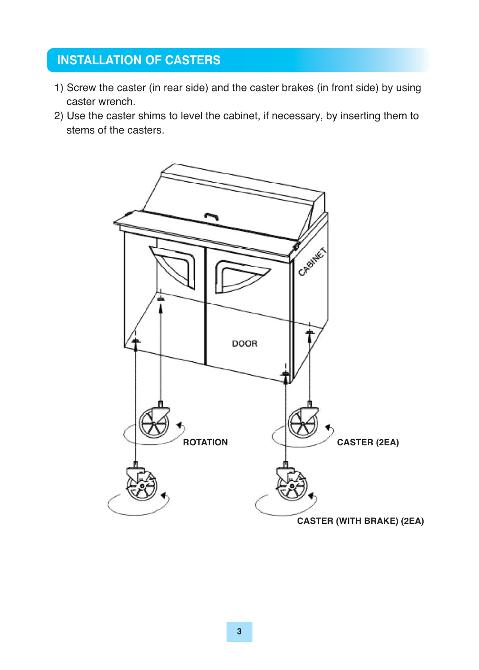# **INSTALLATION OF CASTERS**

- 1) Screw the caster (in rear side) and the caster brakes (in front side) by using caster wrench.
- 2) Use the caster shims to level the cabinet, if necessary, by inserting them to stems of the casters.

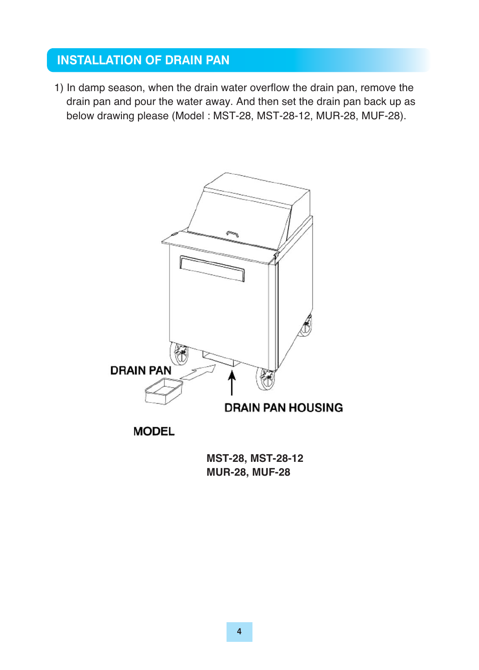### **INSTALLATION OF DRAIN PAN**

1) In damp season, when the drain water overflow the drain pan, remove the drain pan and pour the water away. And then set the drain pan back up as below drawing please (Model : MST-28, MST-28-12, MUR-28, MUF-28).



**MST-28, MST-28-12 MUR-28, MUF-28**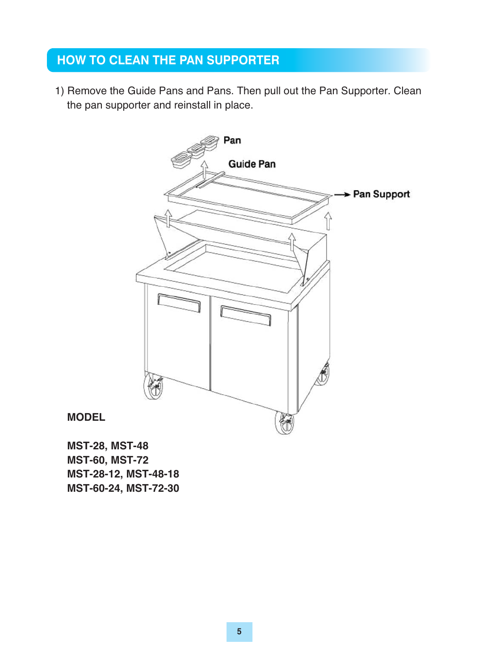### **HOW TO CLEAN THE PAN SUPPORTER**

1) Remove the Guide Pans and Pans. Then pull out the Pan Supporter. Clean the pan supporter and reinstall in place.



**MODEL** 

**MST-28, MST-48 MST-60, MST-72 MST-28-12, MST-48-18 MST-60-24, MST-72-30**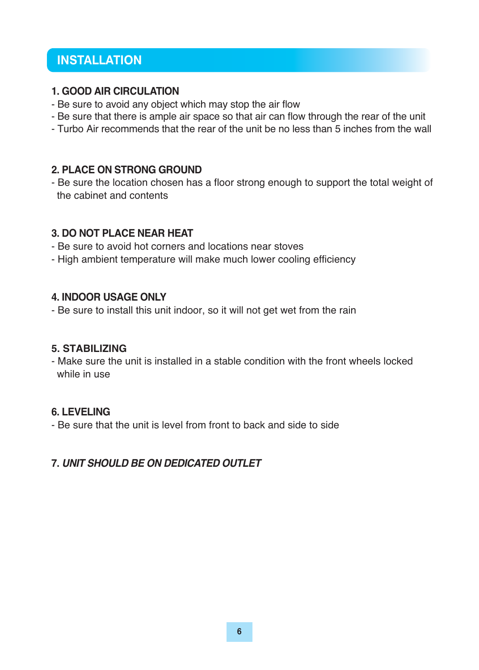### **INSTALLATION**

#### **1. GOOD AIR CIRCULATION**

- Be sure to avoid any object which may stop the air flow
- Be sure that there is ample air space so that air can flow through the rear of the unit
- Turbo Air recommends that the rear of the unit be no less than 5 inches from the wall

#### **2. PLACE ON STRONG GROUND**

- Be sure the location chosen has a floor strong enough to support the total weight of the cabinet and contents

#### **3. DO NOT PLACE NEAR HEAT**

- Be sure to avoid hot corners and locations near stoves
- High ambient temperature will make much lower cooling efficiency

#### **4. INDOOR USAGE ONLY**

- Be sure to install this unit indoor, so it will not get wet from the rain

#### **5. STABILIZING**

- Make sure the unit is installed in a stable condition with the front wheels locked while in use

### **6. LEVELING**

- Be sure that the unit is level from front to back and side to side

### **7.** *UNIT SHOULD BE ON DEDICATED OUTLET*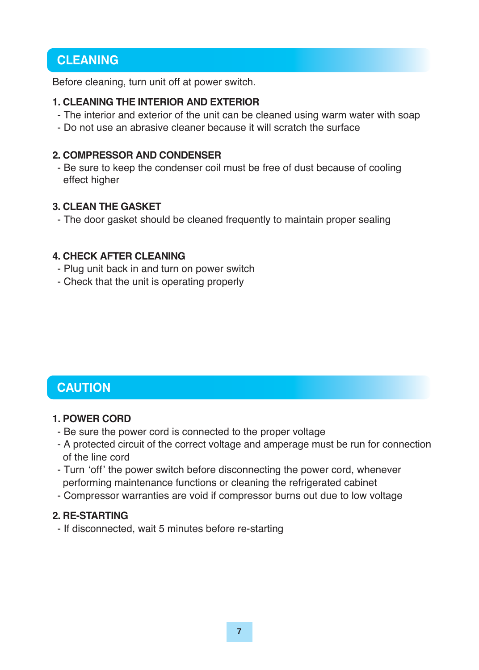### **CLEANING**

Before cleaning, turn unit off at power switch.

#### **1. CLEANING THE INTERIOR AND EXTERIOR**

- The interior and exterior of the unit can be cleaned using warm water with soap
- Do not use an abrasive cleaner because it will scratch the surface

#### **2. COMPRESSOR AND CONDENSER**

- Be sure to keep the condenser coil must be free of dust because of cooling effect higher

#### **3. CLEAN THE GASKET**

- The door gasket should be cleaned frequently to maintain proper sealing

#### **4. CHECK AFTER CLEANING**

- Plug unit back in and turn on power switch
- Check that the unit is operating properly

## **CAUTION**

#### **1. POWER CORD**

- Be sure the power cord is connected to the proper voltage
- A protected circuit of the correct voltage and amperage must be run for connection of the line cord
- Turn ʻoff' the power switch before disconnecting the power cord, whenever performing maintenance functions or cleaning the refrigerated cabinet
- Compressor warranties are void if compressor burns out due to low voltage

#### **2. RE-STARTING**

- If disconnected, wait 5 minutes before re-starting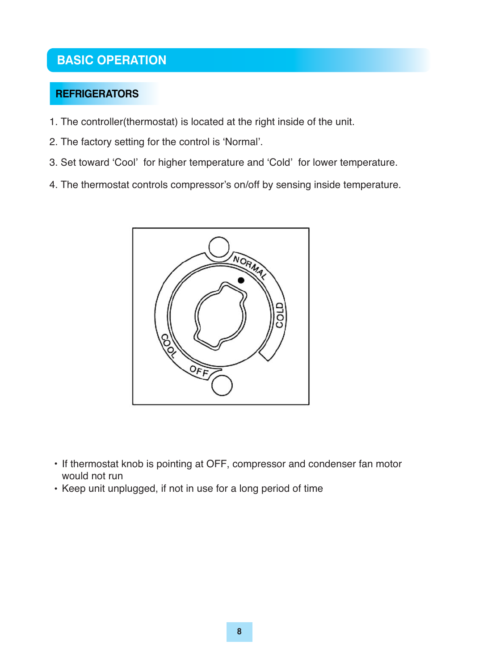# **BASIC OPERATION**

### **REFRIGERATORS**

- 1. The controller(thermostat) is located at the right inside of the unit.
- 2. The factory setting for the control is 'Normal'.
- 3. Set toward 'Cool' for higher temperature and 'Cold' for lower temperature.
- 4. The thermostat controls compressor's on/off by sensing inside temperature.



- If thermostat knob is pointing at OFF, compressor and condenser fan motor would not run
- Keep unit unplugged, if not in use for a long period of time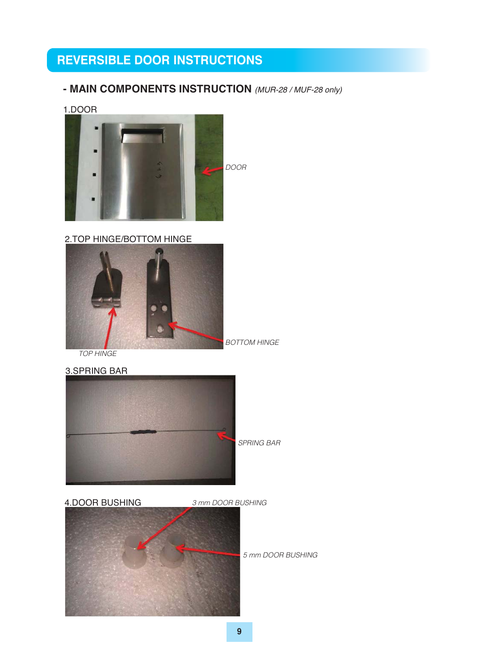- **MAIN COMPONENTS INSTRUCTION** *(MUR-28 / MUF-28 only)*
- 1.DOOR



2.TOP HINGE/BOTTOM HINGE



*TOP HINGE*



4.DOOR BUSHING *3 mm DOOR BUSHING 5 mm DOOR BUSHING*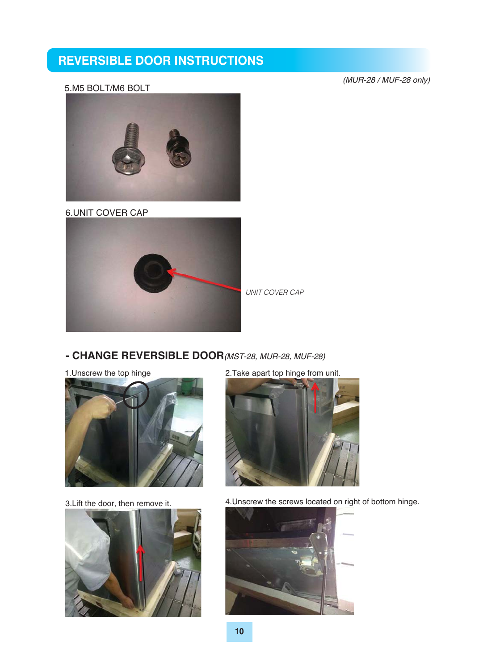#### 5.M5 BOLT/M6 BOLT

*(MUR-28 / MUF-28 only)*



6.UNIT COVER CAP



*UNIT COVER CAP*

#### **- CHANGE REVERSIBLE DOOR***(MST-28, MUR-28, MUF-28)*

1.Unscrew the top hinge



3.Lift the door, then remove it.



2.Take apart top hinge from unit.



4.Unscrew the screws located on right of bottom hinge.

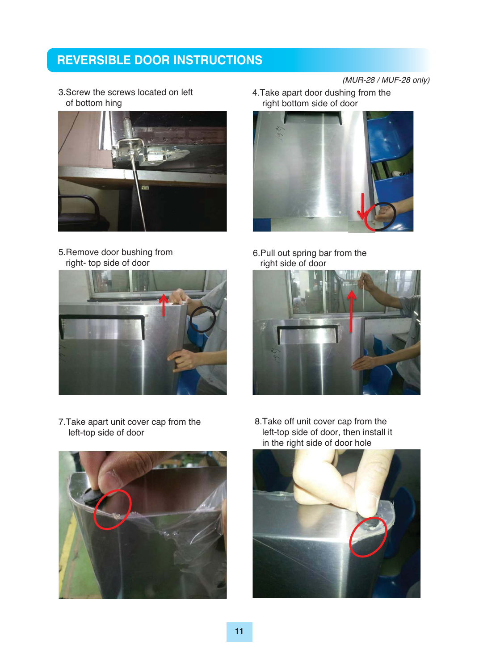3.Screw the screws located on left of bottom hing



5.Remove door bushing from right- top side of door

4.Take apart door dushing from the right bottom side of door



6.Pull out spring bar from the right side of door





7.Take apart unit cover cap from the left-top side of door



8.Take off unit cover cap from the left-top side of door, then install it in the right side of door hole

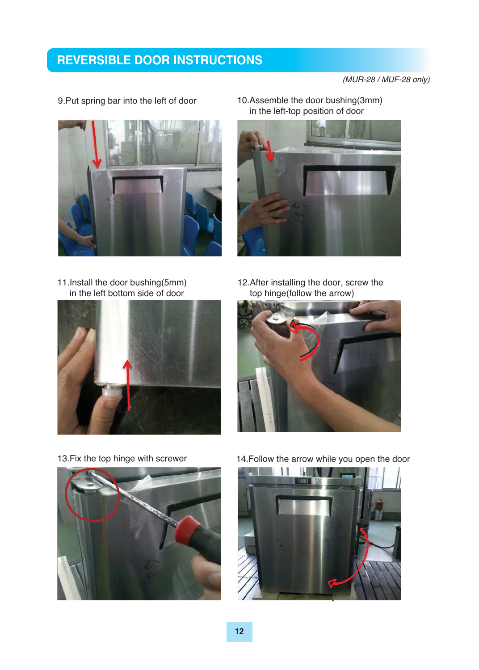*(MUR-28 / MUF-28 only)*



- 9.Put spring bar into the left of door
- 10.Assemble the door bushing(3mm) in the left-top position of door



- 11.Install the door bushing(5mm) in the left bottom side of door
- 12.After installing the door, screw the top hinge(follow the arrow)







13.Fix the top hinge with screwer 14.Follow the arrow while you open the door

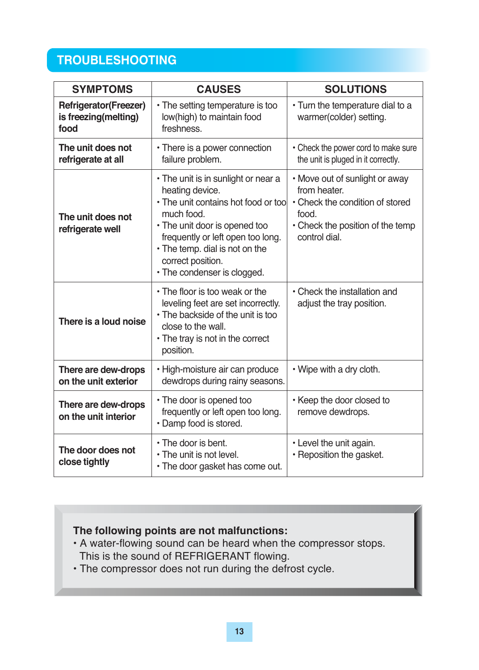# **TROUBLESHOOTING**

| <b>SYMPTOMS</b>                                              | <b>CAUSES</b>                                                                                                                                                                                                                                                           | <b>SOLUTIONS</b>                                                                                                                                |  |
|--------------------------------------------------------------|-------------------------------------------------------------------------------------------------------------------------------------------------------------------------------------------------------------------------------------------------------------------------|-------------------------------------------------------------------------------------------------------------------------------------------------|--|
| <b>Refrigerator(Freezer)</b><br>is freezing(melting)<br>food | • The setting temperature is too<br>low(high) to maintain food<br>freshness.                                                                                                                                                                                            | • Turn the temperature dial to a<br>warmer(colder) setting.                                                                                     |  |
| The unit does not<br>refrigerate at all                      | • There is a power connection<br>failure problem.                                                                                                                                                                                                                       | • Check the power cord to make sure<br>the unit is pluged in it correctly.                                                                      |  |
| The unit does not<br>refrigerate well                        | • The unit is in sunlight or near a<br>heating device.<br>• The unit contains hot food or too<br>much food.<br>• The unit door is opened too<br>frequently or left open too long.<br>• The temp. dial is not on the<br>correct position.<br>• The condenser is clogged. | • Move out of sunlight or away<br>from heater.<br>• Check the condition of stored<br>food.<br>• Check the position of the temp<br>control dial. |  |
| There is a loud noise                                        | • The floor is too weak or the<br>leveling feet are set incorrectly.<br>• The backside of the unit is too<br>close to the wall.<br>• The tray is not in the correct<br>position.                                                                                        | • Check the installation and<br>adjust the tray position.                                                                                       |  |
| There are dew-drops<br>on the unit exterior                  | • High-moisture air can produce<br>dewdrops during rainy seasons.                                                                                                                                                                                                       | • Wipe with a dry cloth.                                                                                                                        |  |
| There are dew-drops<br>on the unit interior                  | • The door is opened too<br>frequently or left open too long.<br>· Damp food is stored.                                                                                                                                                                                 | • Keep the door closed to<br>remove dewdrops.                                                                                                   |  |
| The door does not<br>close tightly                           | • The door is bent.<br>• The unit is not level.<br>• The door gasket has come out.                                                                                                                                                                                      | • Level the unit again.<br>• Reposition the gasket.                                                                                             |  |

### **The following points are not malfunctions:**

- A water-flowing sound can be heard when the compressor stops. This is the sound of REFRIGERANT flowing.
- The compressor does not run during the defrost cycle.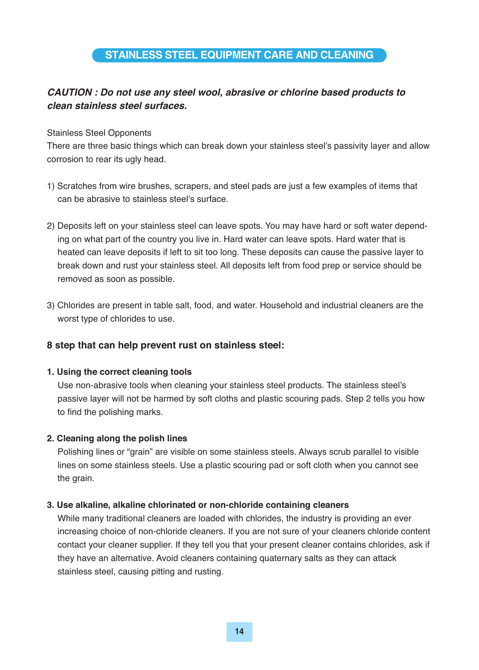#### **STAINLESS STEEL EQUIPMENT CARE AND CLEANING**

#### *CAUTION : Do not use any steel wool, abrasive or chlorine based products to clean stainless steel surfaces.*

#### Stainless Steel Opponents

There are three basic things which can break down your stainless steel's passivity layer and allow corrosion to rear its ugly head.

- 1) Scratches from wire brushes, scrapers, and steel pads are just a few examples of items that can be abrasive to stainless steel's surface.
- 2) Deposits left on your stainless steel can leave spots. You may have hard or soft water depend ing on what part of the country you live in. Hard water can leave spots. Hard water that is heated can leave deposits if left to sit too long. These deposits can cause the passive layer to break down and rust your stainless steel. All deposits left from food prep or service should be removed as soon as possible.
- 3) Chlorides are present in table salt, food, and water. Household and industrial cleaners are the worst type of chlorides to use.

#### **8 step that can help prevent rust on stainless steel:**

#### **1. Using the correct cleaning tools**

 Use non-abrasive tools when cleaning your stainless steel products. The stainless steel's passive layer will not be harmed by soft cloths and plastic scouring pads. Step 2 tells you how to find the polishing marks.

#### **2. Cleaning along the polish lines**

 Polishing lines or "grain" are visible on some stainless steels. Always scrub parallel to visible lines on some stainless steels. Use a plastic scouring pad or soft cloth when you cannot see the grain.

#### **3. Use alkaline, alkaline chlorinated or non-chloride containing cleaners**

 While many traditional cleaners are loaded with chlorides, the industry is providing an ever increasing choice of non-chloride cleaners. If you are not sure of your cleaners chloride content contact your cleaner supplier. If they tell you that your present cleaner contains chlorides, ask if they have an alternative. Avoid cleaners containing quaternary salts as they can attack stainless steel, causing pitting and rusting.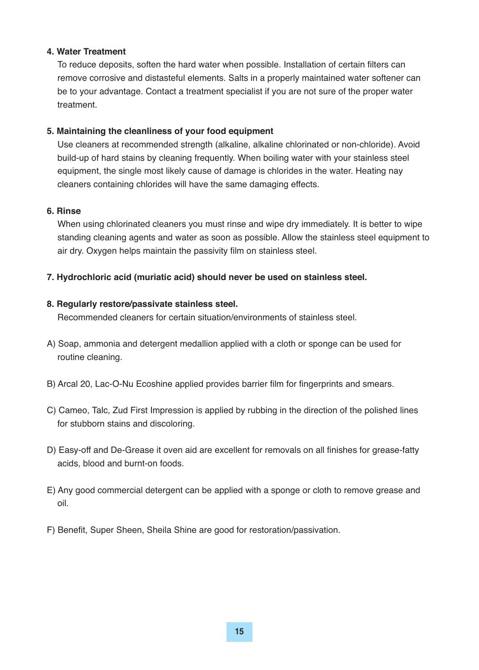#### **4. Water Treatment**

 To reduce deposits, soften the hard water when possible. Installation of certain filters can remove corrosive and distasteful elements. Salts in a properly maintained water softener can be to your advantage. Contact a treatment specialist if you are not sure of the proper water treatment.

#### **5. Maintaining the cleanliness of your food equipment**

 Use cleaners at recommended strength (alkaline, alkaline chlorinated or non-chloride). Avoid build-up of hard stains by cleaning frequently. When boiling water with your stainless steel equipment, the single most likely cause of damage is chlorides in the water. Heating nay cleaners containing chlorides will have the same damaging effects.

#### **6. Rinse**

 When using chlorinated cleaners you must rinse and wipe dry immediately. It is better to wipe standing cleaning agents and water as soon as possible. Allow the stainless steel equipment to air dry. Oxygen helps maintain the passivity film on stainless steel.

#### **7. Hydrochloric acid (muriatic acid) should never be used on stainless steel.**

#### **8. Regularly restore/passivate stainless steel.**

Recommended cleaners for certain situation/environments of stainless steel.

- A) Soap, ammonia and detergent medallion applied with a cloth or sponge can be used for routine cleaning.
- B) Arcal 20, Lac-O-Nu Ecoshine applied provides barrier film for fingerprints and smears.
- C) Cameo, Talc, Zud First Impression is applied by rubbing in the direction of the polished lines for stubborn stains and discoloring.
- D) Easy-off and De-Grease it oven aid are excellent for removals on all finishes for grease-fatty acids, blood and burnt-on foods.
- E) Any good commercial detergent can be applied with a sponge or cloth to remove grease and oil.
- F) Benefit, Super Sheen, Sheila Shine are good for restoration/passivation.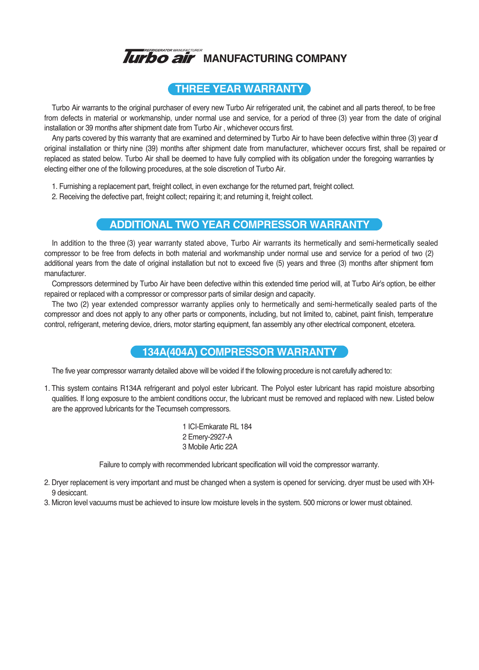

#### **THREE YEAR WARRANTY**

Turbo Air warrants to the original purchaser of every new Turbo Air refrigerated unit, the cabinet and all parts thereof, to be free from defects in material or workmanship, under normal use and service, for a period of three (3) year from the date of original installation or 39 months after shipment date from Turbo Air , whichever occurs first.

Any parts covered by this warranty that are examined and determined by Turbo Air to have been defective within three (3) year of original installation or thirty nine (39) months after shipment date from manufacturer, whichever occurs first, shall be repaired or replaced as stated below. Turbo Air shall be deemed to have fully complied with its obligation under the foregoing warranties by electing either one of the following procedures, at the sole discretion of Turbo Air.

- 1. Furnishing a replacement part, freight collect, in even exchange for the returned part, freight collect.
- 2. Receiving the defective part, freight collect; repairing it; and returning it, freight collect.

#### **ADDITIONAL TWO YEAR COMPRESSOR WARRANTY**

In addition to the three (3) year warranty stated above, Turbo Air warrants its hermetically and semi-hermetically sealed compressor to be free from defects in both material and workmanship under normal use and service for a period of two (2) additional years from the date of original installation but not to exceed five (5) years and three (3) months after shipment from manufacturer.

Compressors determined by Turbo Air have been defective within this extended time period will, at Turbo Air's option, be either repaired or replaced with a compressor or compressor parts of similar design and capacity.

The two (2) year extended compressor warranty applies only to hermetically and semi-hermetically sealed parts of the compressor and does not apply to any other parts or components, including, but not limited to, cabinet, paint finish, temperature control, refrigerant, metering device, driers, motor starting equipment, fan assembly any other electrical component, etcetera.

#### **134A(404A) COMPRESSOR WARRANTY**

The five year compressor warranty detailed above will be voided if the following procedure is not carefully adhered to:

1. This system contains R134A refrigerant and polyol ester lubricant. The Polyol ester lubricant has rapid moisture absorbing qualities. If long exposure to the ambient conditions occur, the lubricant must be removed and replaced with new. Listed below are the approved lubricants for the Tecumseh compressors.

> 1 ICI-Emkarate RL 184 2 Emery-2927-A 3 Mobile Artic 22A

Failure to comply with recommended lubricant specification will void the compressor warranty.

- 2. Dryer replacement is very important and must be changed when a system is opened for servicing. dryer must be used with XH-9 desiccant.
- 3. Micron level vacuums must be achieved to insure low moisture levels in the system. 500 microns or lower must obtained.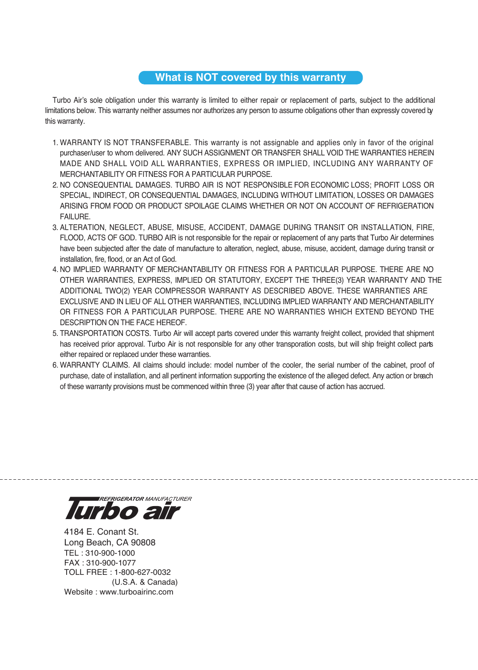#### **What is NOT covered by this warranty**

Turbo Air's sole obligation under this warranty is limited to either repair or replacement of parts, subject to the additional limitations below. This warranty neither assumes nor authorizes any person to assume obligations other than expressly covered by this warranty.

- 1. WARRANTY IS NOT TRANSFERABLE. This warranty is not assignable and applies only in favor of the original purchaser/user to whom delivered. ANY SUCH ASSIGNMENT OR TRANSFER SHALL VOID THE WARRANTIES HEREIN MADE AND SHALL VOID ALL WARRANTIES, EXPRESS OR IMPLIED, INCLUDING ANY WARRANTY OF MERCHANTABILITY OR FITNESS FOR A PARTICULAR PURPOSE.
- 2. NO CONSEQUENTIAL DAMAGES. TURBO AIR IS NOT RESPONSIBLE FOR ECONOMIC LOSS; PROFIT LOSS OR SPECIAL, INDIRECT, OR CONSEQUENTIAL DAMAGES, INCLUDING WITHOUT LIMITATION, LOSSES OR DAMAGES ARISING FROM FOOD OR PRODUCT SPOILAGE CLAIMS WHETHER OR NOT ON ACCOUNT OF REFRIGERATION FAILURE.
- 3. ALTERATION, NEGLECT, ABUSE, MISUSE, ACCIDENT, DAMAGE DURING TRANSIT OR INSTALLATION, FIRE, FLOOD, ACTS OF GOD. TURBO AIR is not responsible for the repair or replacement of any parts that Turbo Air determines have been subjected after the date of manufacture to alteration, neglect, abuse, misuse, accident, damage during transit or installation, fire, flood, or an Act of God.
- 4. NO IMPLIED WARRANTY OF MERCHANTABILITY OR FITNESS FOR A PARTICULAR PURPOSE. THERE ARE NO OTHER WARRANTIES, EXPRESS, IMPLIED OR STATUTORY, EXCEPT THE THREE(3) YEAR WARRANTY AND THE ADDITIONAL TWO(2) YEAR COMPRESSOR WARRANTY AS DESCRIBED ABOVE. THESE WARRANTIES ARE EXCLUSIVE AND IN LIEU OF ALL OTHER WARRANTIES, INCLUDING IMPLIED WARRANTY AND MERCHANTABILITY OR FITNESS FOR A PARTICULAR PURPOSE. THERE ARE NO WARRANTIES WHICH EXTEND BEYOND THE DESCRIPTION ON THE FACE HEREOF.
- 5. TRANSPORTATION COSTS. Turbo Air will accept parts covered under this warranty freight collect, provided that shipment has received prior approval. Turbo Air is not responsible for any other transporation costs, but will ship freight collect parts either repaired or replaced under these warranties.
- 6. WARRANTY CLAIMS. All claims should include: model number of the cooler, the serial number of the cabinet, proof of purchase, date of installation, and all pertinent information supporting the existence of the alleged defect. Any action or breach of these warranty provisions must be commenced within three (3) year after that cause of action has accrued.

**REFRIGERATOR MANUFACTURER** 

4184 E. Conant St. Long Beach, CA 90808 TEL : 310-900-1000 FAX : 310-900-1077 TOLL FREE : 1-800-627-0032 (U.S.A. & Canada) Website : www.turboairinc.com